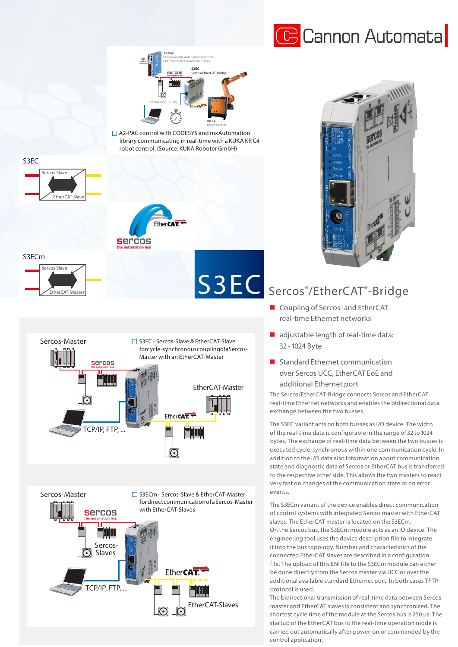



A2-PAC control with CODESYS and mxAutomation library communicating in real-time with a KUKA KR C4 robot control. (Source: KUKA Roboter GmbH)





## S3EC Sercos®/EtherCAT®-Bridge

- Coupling of Sercos- and EtherCAT real-time Ethernet networks
- adjustable length of real-time data: 32 - 1024 Byte
- **Standard Ethernet communication**  over Sercos UCC, EtherCAT EoE and additional Ethernet port

The Sercos/EtherCAT-Bridge connects Sercos and EtherCAT real-time Ethernet networks and enables the bidirectional data exchange between the two busses.

The S3EC variant acts on both busses as I/O device. The width of the real-time data is configurable in the range of 32 to 1024 bytes. The exchange of real-time data between the two busses is executed cycle-synchronous within one communication cycle. In addition to the I/O data also information about communication state and diagnostic data of Sercos or EtherCAT bus is transferred to the respective other side. This allows the two masters to react very fast on changes of the communication state or on error events.

The S3ECm variant of the device enables direct communication of control systems with integrated Sercos master with EtherCAT slaves. The EtherCAT master is located on the S3ECm. On the Sercos bus, the S3ECm module acts as an IO device. The engineering tool uses the device description file to integrate it into the bus topology. Number and characteristics of the connected EtherCAT slaves are described in a configuration file. The upload of this ENI file to the S3ECm module can either be done directly from the Sercos master via UCC or over the additional available standard Ethernet port. In both cases TFTP protocol is used.

The bidirectional transmission of real-time data between Sercos master and EtherCAT slaves is consistent and synchronized. The shortest cycle time of the module at the Sercos bus is 250 µs. The startup of the EtherCAT bus to the real-time operation mode is carried out automatically after power-on or commanded by the control application.